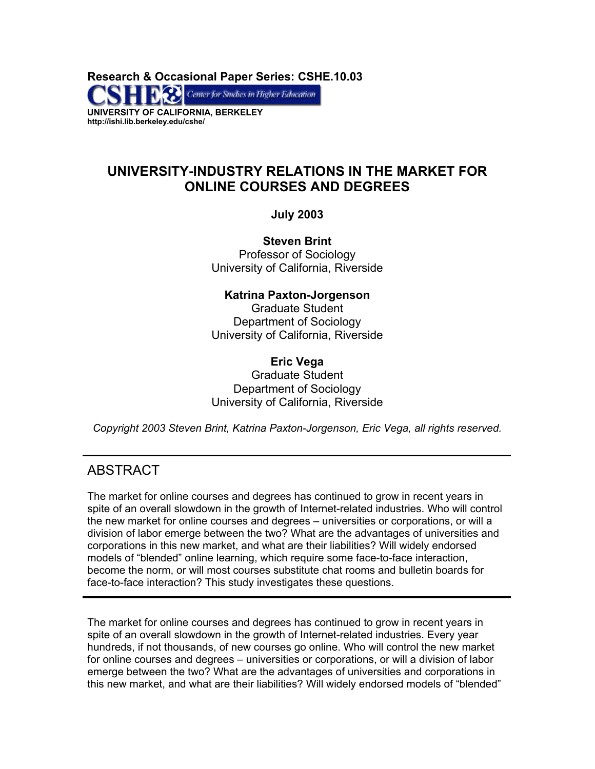**Research & Occasional Paper Series: CSHE.10.03**  Center for Studies in Higher Education **UNIVERSITY OF CALIFORNIA, BERKELEY http://ishi.lib.berkeley.edu/cshe/** 

# **UNIVERSITY-INDUSTRY RELATIONS IN THE MARKET FOR ONLINE COURSES AND DEGREES**

# **July 2003**

**Steven Brint**  Professor of Sociology University of California, Riverside

**Katrina Paxton-Jorgenson**  Graduate Student Department of Sociology University of California, Riverside

**Eric Vega**  Graduate Student Department of Sociology University of California, Riverside

*Copyright 2003 Steven Brint, Katrina Paxton-Jorgenson, Eric Vega, all rights reserved.* 

# **ABSTRACT**

The market for online courses and degrees has continued to grow in recent years in spite of an overall slowdown in the growth of Internet-related industries. Who will control the new market for online courses and degrees – universities or corporations, or will a division of labor emerge between the two? What are the advantages of universities and corporations in this new market, and what are their liabilities? Will widely endorsed models of "blended" online learning, which require some face-to-face interaction, become the norm, or will most courses substitute chat rooms and bulletin boards for face-to-face interaction? This study investigates these questions.

The market for online courses and degrees has continued to grow in recent years in spite of an overall slowdown in the growth of Internet-related industries. Every year hundreds, if not thousands, of new courses go online. Who will control the new market for online courses and degrees – universities or corporations, or will a division of labor emerge between the two? What are the advantages of universities and corporations in this new market, and what are their liabilities? Will widely endorsed models of "blended"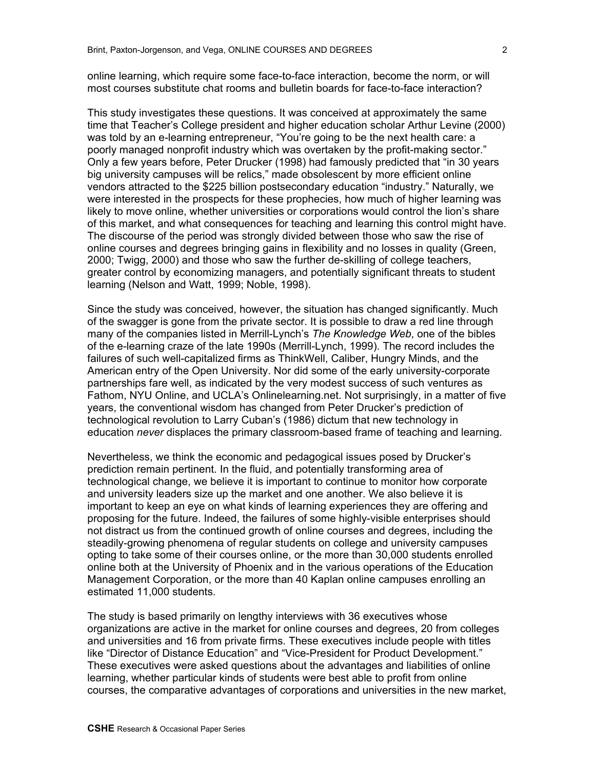online learning, which require some face-to-face interaction, become the norm, or will most courses substitute chat rooms and bulletin boards for face-to-face interaction?

This study investigates these questions. It was conceived at approximately the same time that Teacher's College president and higher education scholar Arthur Levine (2000) was told by an e-learning entrepreneur, "You're going to be the next health care: a poorly managed nonprofit industry which was overtaken by the profit-making sector." Only a few years before, Peter Drucker (1998) had famously predicted that "in 30 years big university campuses will be relics," made obsolescent by more efficient online vendors attracted to the \$225 billion postsecondary education "industry." Naturally, we were interested in the prospects for these prophecies, how much of higher learning was likely to move online, whether universities or corporations would control the lion's share of this market, and what consequences for teaching and learning this control might have. The discourse of the period was strongly divided between those who saw the rise of online courses and degrees bringing gains in flexibility and no losses in quality (Green, 2000; Twigg, 2000) and those who saw the further de-skilling of college teachers, greater control by economizing managers, and potentially significant threats to student learning (Nelson and Watt, 1999; Noble, 1998).

Since the study was conceived, however, the situation has changed significantly. Much of the swagger is gone from the private sector. It is possible to draw a red line through many of the companies listed in Merrill-Lynch's *The Knowledge Web*, one of the bibles of the e-learning craze of the late 1990s (Merrill-Lynch, 1999). The record includes the failures of such well-capitalized firms as ThinkWell, Caliber, Hungry Minds, and the American entry of the Open University. Nor did some of the early university-corporate partnerships fare well, as indicated by the very modest success of such ventures as Fathom, NYU Online, and UCLA's Onlinelearning.net. Not surprisingly, in a matter of five years, the conventional wisdom has changed from Peter Drucker's prediction of technological revolution to Larry Cuban's (1986) dictum that new technology in education *never* displaces the primary classroom-based frame of teaching and learning.

Nevertheless, we think the economic and pedagogical issues posed by Drucker's prediction remain pertinent. In the fluid, and potentially transforming area of technological change, we believe it is important to continue to monitor how corporate and university leaders size up the market and one another. We also believe it is important to keep an eye on what kinds of learning experiences they are offering and proposing for the future. Indeed, the failures of some highly-visible enterprises should not distract us from the continued growth of online courses and degrees, including the steadily-growing phenomena of regular students on college and university campuses opting to take some of their courses online, or the more than 30,000 students enrolled online both at the University of Phoenix and in the various operations of the Education Management Corporation, or the more than 40 Kaplan online campuses enrolling an estimated 11,000 students.

The study is based primarily on lengthy interviews with 36 executives whose organizations are active in the market for online courses and degrees, 20 from colleges and universities and 16 from private firms. These executives include people with titles like "Director of Distance Education" and "Vice-President for Product Development." These executives were asked questions about the advantages and liabilities of online learning, whether particular kinds of students were best able to profit from online courses, the comparative advantages of corporations and universities in the new market,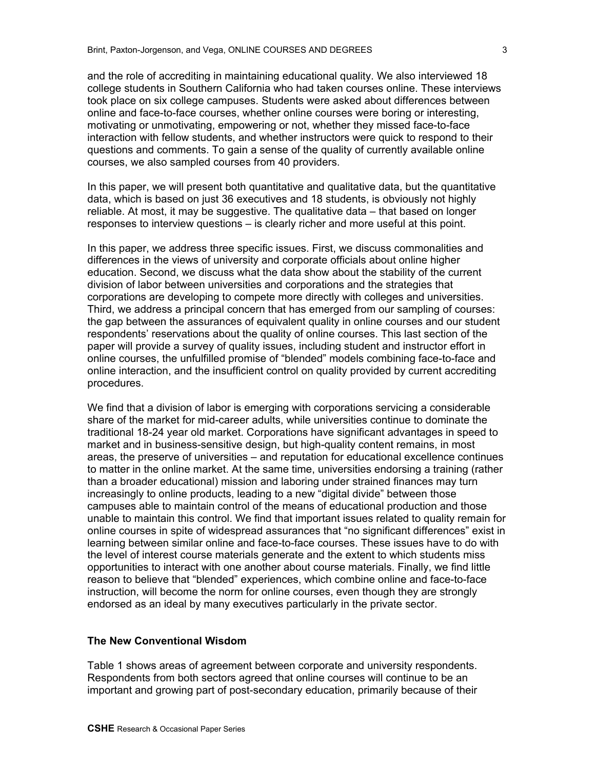and the role of accrediting in maintaining educational quality. We also interviewed 18 college students in Southern California who had taken courses online. These interviews took place on six college campuses. Students were asked about differences between online and face-to-face courses, whether online courses were boring or interesting, motivating or unmotivating, empowering or not, whether they missed face-to-face interaction with fellow students, and whether instructors were quick to respond to their questions and comments. To gain a sense of the quality of currently available online courses, we also sampled courses from 40 providers.

In this paper, we will present both quantitative and qualitative data, but the quantitative data, which is based on just 36 executives and 18 students, is obviously not highly reliable. At most, it may be suggestive. The qualitative data – that based on longer responses to interview questions – is clearly richer and more useful at this point.

In this paper, we address three specific issues. First, we discuss commonalities and differences in the views of university and corporate officials about online higher education. Second, we discuss what the data show about the stability of the current division of labor between universities and corporations and the strategies that corporations are developing to compete more directly with colleges and universities. Third, we address a principal concern that has emerged from our sampling of courses: the gap between the assurances of equivalent quality in online courses and our student respondents' reservations about the quality of online courses. This last section of the paper will provide a survey of quality issues, including student and instructor effort in online courses, the unfulfilled promise of "blended" models combining face-to-face and online interaction, and the insufficient control on quality provided by current accrediting procedures.

We find that a division of labor is emerging with corporations servicing a considerable share of the market for mid-career adults, while universities continue to dominate the traditional 18-24 year old market. Corporations have significant advantages in speed to market and in business-sensitive design, but high-quality content remains, in most areas, the preserve of universities – and reputation for educational excellence continues to matter in the online market. At the same time, universities endorsing a training (rather than a broader educational) mission and laboring under strained finances may turn increasingly to online products, leading to a new "digital divide" between those campuses able to maintain control of the means of educational production and those unable to maintain this control. We find that important issues related to quality remain for online courses in spite of widespread assurances that "no significant differences" exist in learning between similar online and face-to-face courses. These issues have to do with the level of interest course materials generate and the extent to which students miss opportunities to interact with one another about course materials. Finally, we find little reason to believe that "blended" experiences, which combine online and face-to-face instruction, will become the norm for online courses, even though they are strongly endorsed as an ideal by many executives particularly in the private sector.

#### **The New Conventional Wisdom**

Table 1 shows areas of agreement between corporate and university respondents. Respondents from both sectors agreed that online courses will continue to be an important and growing part of post-secondary education, primarily because of their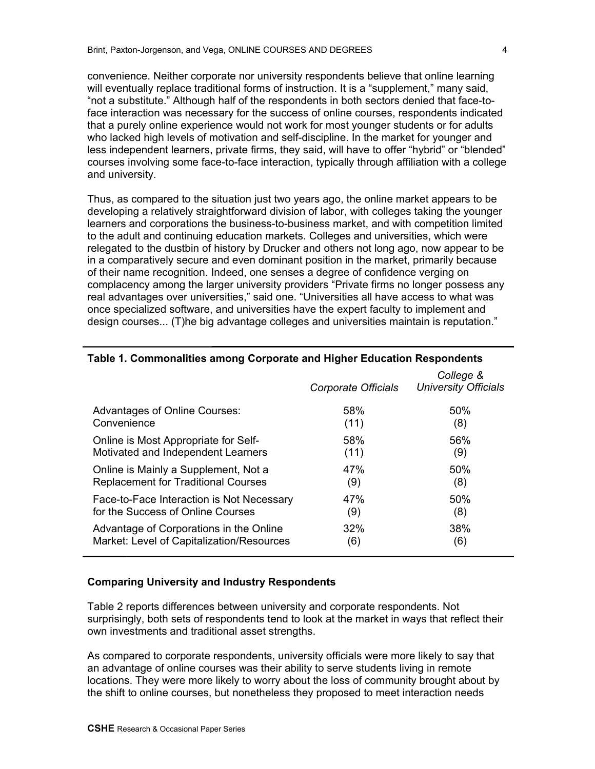convenience. Neither corporate nor university respondents believe that online learning will eventually replace traditional forms of instruction. It is a "supplement," many said, "not a substitute." Although half of the respondents in both sectors denied that face-toface interaction was necessary for the success of online courses, respondents indicated that a purely online experience would not work for most younger students or for adults who lacked high levels of motivation and self-discipline. In the market for younger and less independent learners, private firms, they said, will have to offer "hybrid" or "blended" courses involving some face-to-face interaction, typically through affiliation with a college and university.

Thus, as compared to the situation just two years ago, the online market appears to be developing a relatively straightforward division of labor, with colleges taking the younger learners and corporations the business-to-business market, and with competition limited to the adult and continuing education markets. Colleges and universities, which were relegated to the dustbin of history by Drucker and others not long ago, now appear to be in a comparatively secure and even dominant position in the market, primarily because of their name recognition. Indeed, one senses a degree of confidence verging on complacency among the larger university providers "Private firms no longer possess any real advantages over universities," said one. "Universities all have access to what was once specialized software, and universities have the expert faculty to implement and design courses... (T)he big advantage colleges and universities maintain is reputation."

|                                            | Corporate Officials | College &<br><b>University Officials</b> |
|--------------------------------------------|---------------------|------------------------------------------|
| <b>Advantages of Online Courses:</b>       | 58%                 | 50%                                      |
| Convenience                                | (11)                | (8)                                      |
| Online is Most Appropriate for Self-       | 58%                 | 56%                                      |
| Motivated and Independent Learners         | (11)                | (9)                                      |
| Online is Mainly a Supplement, Not a       | 47%                 | 50%                                      |
| <b>Replacement for Traditional Courses</b> | (9)                 | (8)                                      |
| Face-to-Face Interaction is Not Necessary  | 47%                 | 50%                                      |
| for the Success of Online Courses          | (9)                 | (8)                                      |
| Advantage of Corporations in the Online    | 32%                 | 38%                                      |
| Market: Level of Capitalization/Resources  | (6)                 | (6)                                      |
|                                            |                     |                                          |

# **Table 1. Commonalities among Corporate and Higher Education Respondents**

## **Comparing University and Industry Respondents**

Table 2 reports differences between university and corporate respondents. Not surprisingly, both sets of respondents tend to look at the market in ways that reflect their own investments and traditional asset strengths.

As compared to corporate respondents, university officials were more likely to say that an advantage of online courses was their ability to serve students living in remote locations. They were more likely to worry about the loss of community brought about by the shift to online courses, but nonetheless they proposed to meet interaction needs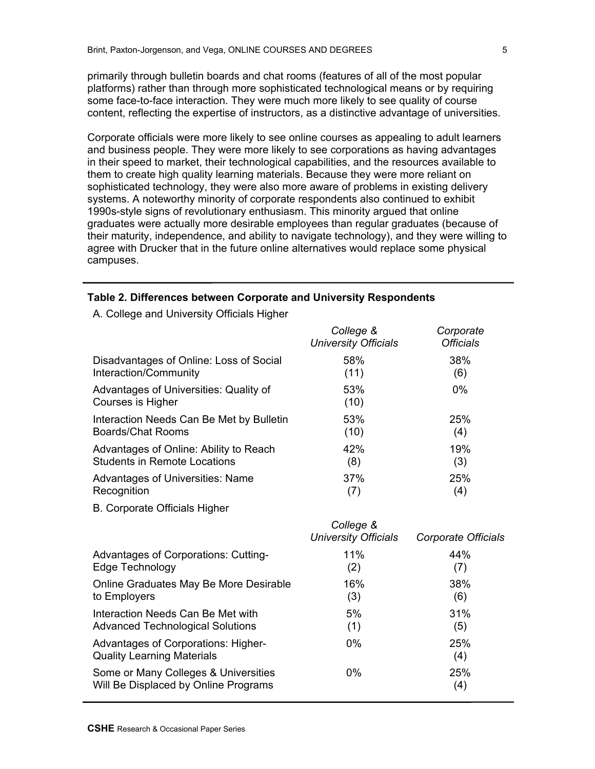primarily through bulletin boards and chat rooms (features of all of the most popular platforms) rather than through more sophisticated technological means or by requiring some face-to-face interaction. They were much more likely to see quality of course content, reflecting the expertise of instructors, as a distinctive advantage of universities.

Corporate officials were more likely to see online courses as appealing to adult learners and business people. They were more likely to see corporations as having advantages in their speed to market, their technological capabilities, and the resources available to them to create high quality learning materials. Because they were more reliant on sophisticated technology, they were also more aware of problems in existing delivery systems. A noteworthy minority of corporate respondents also continued to exhibit 1990s-style signs of revolutionary enthusiasm. This minority argued that online graduates were actually more desirable employees than regular graduates (because of their maturity, independence, and ability to navigate technology), and they were willing to agree with Drucker that in the future online alternatives would replace some physical campuses.

## **Table 2. Differences between Corporate and University Respondents**

A. College and University Officials Higher

|                                                             | College &<br><b>University Officials</b> | Corporate<br><b>Officials</b> |
|-------------------------------------------------------------|------------------------------------------|-------------------------------|
| Disadvantages of Online: Loss of Social                     | 58%                                      | 38%                           |
| Interaction/Community                                       | (11)                                     | (6)                           |
| Advantages of Universities: Quality of<br>Courses is Higher | 53%<br>(10)                              | $0\%$                         |
| Interaction Needs Can Be Met by Bulletin                    | 53%                                      | 25%                           |
| Boards/Chat Rooms                                           | (10)                                     | (4)                           |
| Advantages of Online: Ability to Reach                      | 42%                                      | 19%                           |
| <b>Students in Remote Locations</b>                         | (8)                                      | (3)                           |
| <b>Advantages of Universities: Name</b>                     | 37%                                      | 25%                           |
| Recognition                                                 | (7)                                      | (4)                           |

B. Corporate Officials Higher

|                                                                              | College &<br><b>University Officials</b> | Corporate Officials |
|------------------------------------------------------------------------------|------------------------------------------|---------------------|
| Advantages of Corporations: Cutting-                                         | 11%                                      | 44%                 |
| Edge Technology                                                              | (2)                                      | (7)                 |
| Online Graduates May Be More Desirable                                       | 16%                                      | 38%                 |
| to Employers                                                                 | (3)                                      | (6)                 |
| Interaction Needs Can Be Met with                                            | 5%                                       | 31%                 |
| <b>Advanced Technological Solutions</b>                                      | (1)                                      | (5)                 |
| Advantages of Corporations: Higher-<br><b>Quality Learning Materials</b>     | $0\%$                                    | 25%<br>(4)          |
| Some or Many Colleges & Universities<br>Will Be Displaced by Online Programs | $0\%$                                    | 25%<br>(4)          |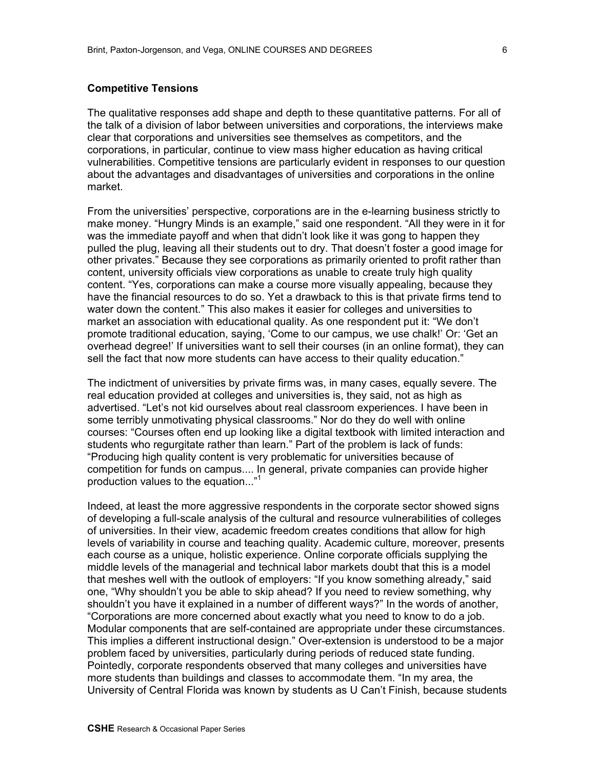#### **Competitive Tensions**

The qualitative responses add shape and depth to these quantitative patterns. For all of the talk of a division of labor between universities and corporations, the interviews make clear that corporations and universities see themselves as competitors, and the corporations, in particular, continue to view mass higher education as having critical vulnerabilities. Competitive tensions are particularly evident in responses to our question about the advantages and disadvantages of universities and corporations in the online market.

From the universities' perspective, corporations are in the e-learning business strictly to make money. "Hungry Minds is an example," said one respondent. "All they were in it for was the immediate payoff and when that didn't look like it was gong to happen they pulled the plug, leaving all their students out to dry. That doesn't foster a good image for other privates." Because they see corporations as primarily oriented to profit rather than content, university officials view corporations as unable to create truly high quality content. "Yes, corporations can make a course more visually appealing, because they have the financial resources to do so. Yet a drawback to this is that private firms tend to water down the content." This also makes it easier for colleges and universities to market an association with educational quality. As one respondent put it: "We don't promote traditional education, saying, 'Come to our campus, we use chalk!' Or: 'Get an overhead degree!' If universities want to sell their courses (in an online format), they can sell the fact that now more students can have access to their quality education."

The indictment of universities by private firms was, in many cases, equally severe. The real education provided at colleges and universities is, they said, not as high as advertised. "Let's not kid ourselves about real classroom experiences. I have been in some terribly unmotivating physical classrooms." Nor do they do well with online courses: "Courses often end up looking like a digital textbook with limited interaction and students who regurgitate rather than learn." Part of the problem is lack of funds: "Producing high quality content is very problematic for universities because of competition for funds on campus.... In general, private companies can provide higher production values to the equation..."<sup>1</sup>

Indeed, at least the more aggressive respondents in the corporate sector showed signs of developing a full-scale analysis of the cultural and resource vulnerabilities of colleges of universities. In their view, academic freedom creates conditions that allow for high levels of variability in course and teaching quality. Academic culture, moreover, presents each course as a unique, holistic experience. Online corporate officials supplying the middle levels of the managerial and technical labor markets doubt that this is a model that meshes well with the outlook of employers: "If you know something already," said one, "Why shouldn't you be able to skip ahead? If you need to review something, why shouldn't you have it explained in a number of different ways?" In the words of another, "Corporations are more concerned about exactly what you need to know to do a job. Modular components that are self-contained are appropriate under these circumstances. This implies a different instructional design." Over-extension is understood to be a major problem faced by universities, particularly during periods of reduced state funding. Pointedly, corporate respondents observed that many colleges and universities have more students than buildings and classes to accommodate them. "In my area, the University of Central Florida was known by students as U Can't Finish, because students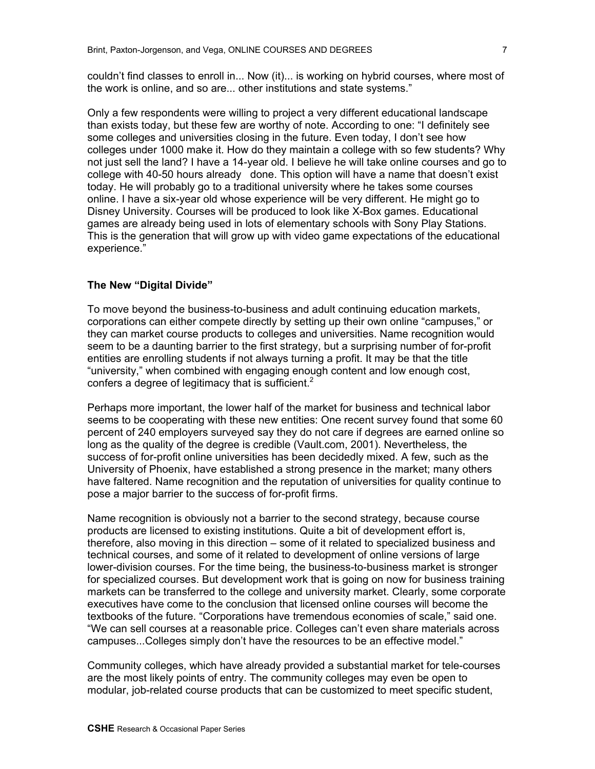couldn't find classes to enroll in... Now (it)... is working on hybrid courses, where most of the work is online, and so are... other institutions and state systems."

Only a few respondents were willing to project a very different educational landscape than exists today, but these few are worthy of note. According to one: "I definitely see some colleges and universities closing in the future. Even today, I don't see how colleges under 1000 make it. How do they maintain a college with so few students? Why not just sell the land? I have a 14-year old. I believe he will take online courses and go to college with 40-50 hours already done. This option will have a name that doesn't exist today. He will probably go to a traditional university where he takes some courses online. I have a six-year old whose experience will be very different. He might go to Disney University. Courses will be produced to look like X-Box games. Educational games are already being used in lots of elementary schools with Sony Play Stations. This is the generation that will grow up with video game expectations of the educational experience."

#### **The New "Digital Divide"**

To move beyond the business-to-business and adult continuing education markets, corporations can either compete directly by setting up their own online "campuses," or they can market course products to colleges and universities. Name recognition would seem to be a daunting barrier to the first strategy, but a surprising number of for-profit entities are enrolling students if not always turning a profit. It may be that the title "university," when combined with engaging enough content and low enough cost, confers a degree of legitimacy that is sufficient.<sup>2</sup>

Perhaps more important, the lower half of the market for business and technical labor seems to be cooperating with these new entities: One recent survey found that some 60 percent of 240 employers surveyed say they do not care if degrees are earned online so long as the quality of the degree is credible (Vault.com, 2001). Nevertheless, the success of for-profit online universities has been decidedly mixed. A few, such as the University of Phoenix, have established a strong presence in the market; many others have faltered. Name recognition and the reputation of universities for quality continue to pose a major barrier to the success of for-profit firms.

Name recognition is obviously not a barrier to the second strategy, because course products are licensed to existing institutions. Quite a bit of development effort is, therefore, also moving in this direction – some of it related to specialized business and technical courses, and some of it related to development of online versions of large lower-division courses. For the time being, the business-to-business market is stronger for specialized courses. But development work that is going on now for business training markets can be transferred to the college and university market. Clearly, some corporate executives have come to the conclusion that licensed online courses will become the textbooks of the future. "Corporations have tremendous economies of scale," said one. "We can sell courses at a reasonable price. Colleges can't even share materials across campuses...Colleges simply don't have the resources to be an effective model."

Community colleges, which have already provided a substantial market for tele-courses are the most likely points of entry. The community colleges may even be open to modular, job-related course products that can be customized to meet specific student,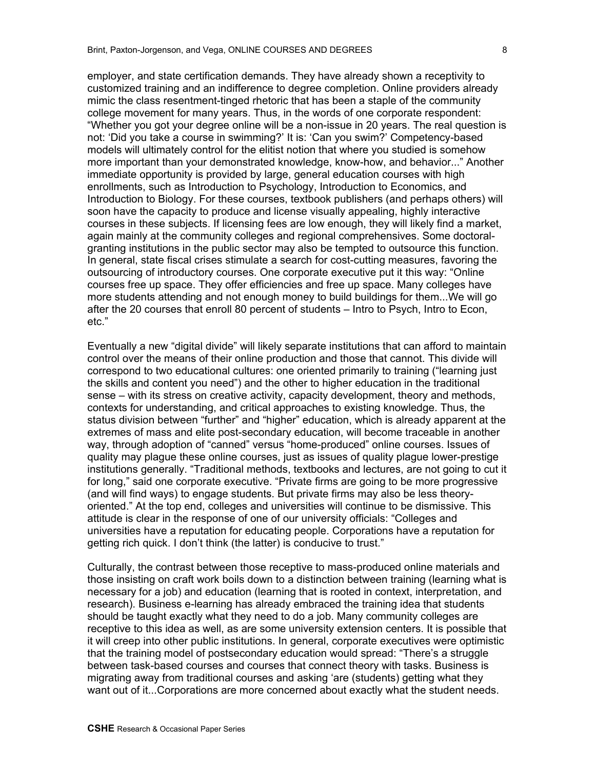employer, and state certification demands. They have already shown a receptivity to customized training and an indifference to degree completion. Online providers already mimic the class resentment-tinged rhetoric that has been a staple of the community college movement for many years. Thus, in the words of one corporate respondent: "Whether you got your degree online will be a non-issue in 20 years. The real question is not: 'Did you take a course in swimming?' It is: 'Can you swim?' Competency-based models will ultimately control for the elitist notion that where you studied is somehow more important than your demonstrated knowledge, know-how, and behavior..." Another immediate opportunity is provided by large, general education courses with high enrollments, such as Introduction to Psychology, Introduction to Economics, and Introduction to Biology. For these courses, textbook publishers (and perhaps others) will soon have the capacity to produce and license visually appealing, highly interactive courses in these subjects. If licensing fees are low enough, they will likely find a market, again mainly at the community colleges and regional comprehensives. Some doctoralgranting institutions in the public sector may also be tempted to outsource this function. In general, state fiscal crises stimulate a search for cost-cutting measures, favoring the outsourcing of introductory courses. One corporate executive put it this way: "Online courses free up space. They offer efficiencies and free up space. Many colleges have more students attending and not enough money to build buildings for them...We will go after the 20 courses that enroll 80 percent of students – Intro to Psych, Intro to Econ, etc."

Eventually a new "digital divide" will likely separate institutions that can afford to maintain control over the means of their online production and those that cannot. This divide will correspond to two educational cultures: one oriented primarily to training ("learning just the skills and content you need") and the other to higher education in the traditional sense – with its stress on creative activity, capacity development, theory and methods, contexts for understanding, and critical approaches to existing knowledge. Thus, the status division between "further" and "higher" education, which is already apparent at the extremes of mass and elite post-secondary education, will become traceable in another way, through adoption of "canned" versus "home-produced" online courses. Issues of quality may plague these online courses, just as issues of quality plague lower-prestige institutions generally. "Traditional methods, textbooks and lectures, are not going to cut it for long," said one corporate executive. "Private firms are going to be more progressive (and will find ways) to engage students. But private firms may also be less theoryoriented." At the top end, colleges and universities will continue to be dismissive. This attitude is clear in the response of one of our university officials: "Colleges and universities have a reputation for educating people. Corporations have a reputation for getting rich quick. I don't think (the latter) is conducive to trust."

Culturally, the contrast between those receptive to mass-produced online materials and those insisting on craft work boils down to a distinction between training (learning what is necessary for a job) and education (learning that is rooted in context, interpretation, and research). Business e-learning has already embraced the training idea that students should be taught exactly what they need to do a job. Many community colleges are receptive to this idea as well, as are some university extension centers. It is possible that it will creep into other public institutions. In general, corporate executives were optimistic that the training model of postsecondary education would spread: "There's a struggle between task-based courses and courses that connect theory with tasks. Business is migrating away from traditional courses and asking 'are (students) getting what they want out of it...Corporations are more concerned about exactly what the student needs.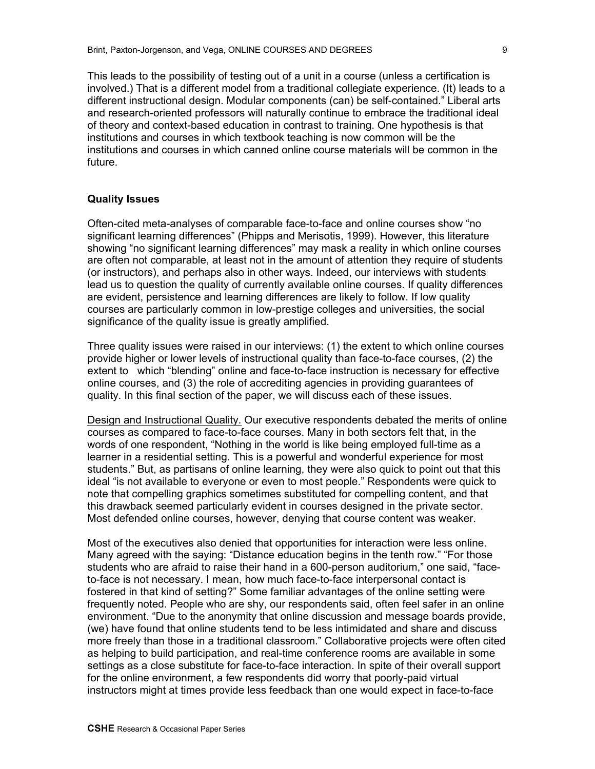This leads to the possibility of testing out of a unit in a course (unless a certification is involved.) That is a different model from a traditional collegiate experience. (It) leads to a different instructional design. Modular components (can) be self-contained." Liberal arts and research-oriented professors will naturally continue to embrace the traditional ideal of theory and context-based education in contrast to training. One hypothesis is that institutions and courses in which textbook teaching is now common will be the institutions and courses in which canned online course materials will be common in the future.

#### **Quality Issues**

Often-cited meta-analyses of comparable face-to-face and online courses show "no significant learning differences" (Phipps and Merisotis, 1999). However, this literature showing "no significant learning differences" may mask a reality in which online courses are often not comparable, at least not in the amount of attention they require of students (or instructors), and perhaps also in other ways. Indeed, our interviews with students lead us to question the quality of currently available online courses. If quality differences are evident, persistence and learning differences are likely to follow. If low quality courses are particularly common in low-prestige colleges and universities, the social significance of the quality issue is greatly amplified.

Three quality issues were raised in our interviews: (1) the extent to which online courses provide higher or lower levels of instructional quality than face-to-face courses, (2) the extent to which "blending" online and face-to-face instruction is necessary for effective online courses, and (3) the role of accrediting agencies in providing guarantees of quality. In this final section of the paper, we will discuss each of these issues.

Design and Instructional Quality. Our executive respondents debated the merits of online courses as compared to face-to-face courses. Many in both sectors felt that, in the words of one respondent, "Nothing in the world is like being employed full-time as a learner in a residential setting. This is a powerful and wonderful experience for most students." But, as partisans of online learning, they were also quick to point out that this ideal "is not available to everyone or even to most people." Respondents were quick to note that compelling graphics sometimes substituted for compelling content, and that this drawback seemed particularly evident in courses designed in the private sector. Most defended online courses, however, denying that course content was weaker.

Most of the executives also denied that opportunities for interaction were less online. Many agreed with the saying: "Distance education begins in the tenth row." "For those students who are afraid to raise their hand in a 600-person auditorium," one said, "faceto-face is not necessary. I mean, how much face-to-face interpersonal contact is fostered in that kind of setting?" Some familiar advantages of the online setting were frequently noted. People who are shy, our respondents said, often feel safer in an online environment. "Due to the anonymity that online discussion and message boards provide, (we) have found that online students tend to be less intimidated and share and discuss more freely than those in a traditional classroom." Collaborative projects were often cited as helping to build participation, and real-time conference rooms are available in some settings as a close substitute for face-to-face interaction. In spite of their overall support for the online environment, a few respondents did worry that poorly-paid virtual instructors might at times provide less feedback than one would expect in face-to-face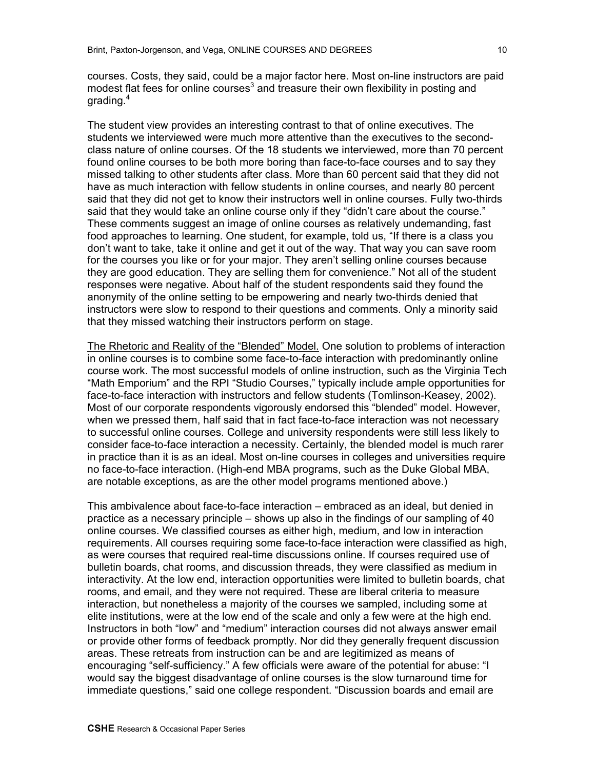courses. Costs, they said, could be a major factor here. Most on-line instructors are paid modest flat fees for online courses $3$  and treasure their own flexibility in posting and grading. $4$ 

The student view provides an interesting contrast to that of online executives. The students we interviewed were much more attentive than the executives to the secondclass nature of online courses. Of the 18 students we interviewed, more than 70 percent found online courses to be both more boring than face-to-face courses and to say they missed talking to other students after class. More than 60 percent said that they did not have as much interaction with fellow students in online courses, and nearly 80 percent said that they did not get to know their instructors well in online courses. Fully two-thirds said that they would take an online course only if they "didn't care about the course." These comments suggest an image of online courses as relatively undemanding, fast food approaches to learning. One student, for example, told us, "If there is a class you don't want to take, take it online and get it out of the way. That way you can save room for the courses you like or for your major. They aren't selling online courses because they are good education. They are selling them for convenience." Not all of the student responses were negative. About half of the student respondents said they found the anonymity of the online setting to be empowering and nearly two-thirds denied that instructors were slow to respond to their questions and comments. Only a minority said that they missed watching their instructors perform on stage.

The Rhetoric and Reality of the "Blended" Model. One solution to problems of interaction in online courses is to combine some face-to-face interaction with predominantly online course work. The most successful models of online instruction, such as the Virginia Tech "Math Emporium" and the RPI "Studio Courses," typically include ample opportunities for face-to-face interaction with instructors and fellow students (Tomlinson-Keasey, 2002). Most of our corporate respondents vigorously endorsed this "blended" model. However, when we pressed them, half said that in fact face-to-face interaction was not necessary to successful online courses. College and university respondents were still less likely to consider face-to-face interaction a necessity. Certainly, the blended model is much rarer in practice than it is as an ideal. Most on-line courses in colleges and universities require no face-to-face interaction. (High-end MBA programs, such as the Duke Global MBA, are notable exceptions, as are the other model programs mentioned above.)

This ambivalence about face-to-face interaction – embraced as an ideal, but denied in practice as a necessary principle – shows up also in the findings of our sampling of 40 online courses. We classified courses as either high, medium, and low in interaction requirements. All courses requiring some face-to-face interaction were classified as high, as were courses that required real-time discussions online. If courses required use of bulletin boards, chat rooms, and discussion threads, they were classified as medium in interactivity. At the low end, interaction opportunities were limited to bulletin boards, chat rooms, and email, and they were not required. These are liberal criteria to measure interaction, but nonetheless a majority of the courses we sampled, including some at elite institutions, were at the low end of the scale and only a few were at the high end. Instructors in both "low" and "medium" interaction courses did not always answer email or provide other forms of feedback promptly. Nor did they generally frequent discussion areas. These retreats from instruction can be and are legitimized as means of encouraging "self-sufficiency." A few officials were aware of the potential for abuse: "I would say the biggest disadvantage of online courses is the slow turnaround time for immediate questions," said one college respondent. "Discussion boards and email are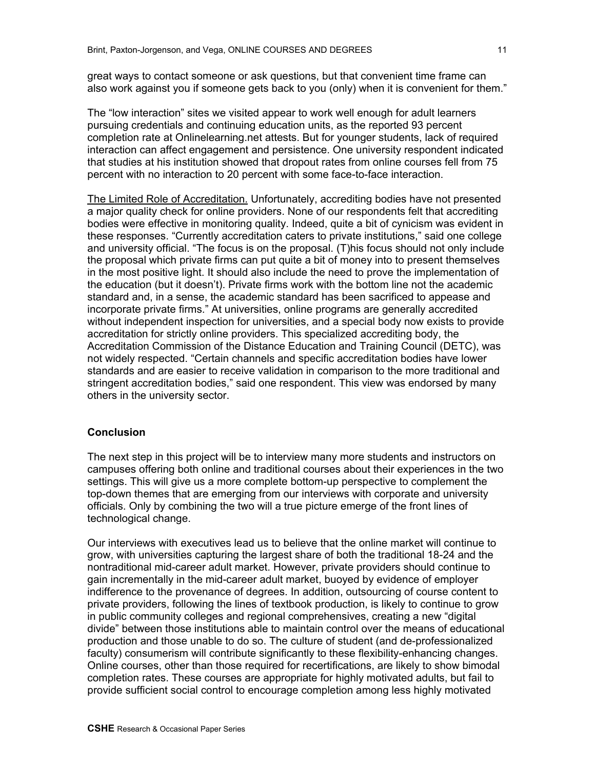great ways to contact someone or ask questions, but that convenient time frame can also work against you if someone gets back to you (only) when it is convenient for them."

The "low interaction" sites we visited appear to work well enough for adult learners pursuing credentials and continuing education units, as the reported 93 percent completion rate at Onlinelearning.net attests. But for younger students, lack of required interaction can affect engagement and persistence. One university respondent indicated that studies at his institution showed that dropout rates from online courses fell from 75 percent with no interaction to 20 percent with some face-to-face interaction.

The Limited Role of Accreditation. Unfortunately, accrediting bodies have not presented a major quality check for online providers. None of our respondents felt that accrediting bodies were effective in monitoring quality. Indeed, quite a bit of cynicism was evident in these responses. "Currently accreditation caters to private institutions," said one college and university official. "The focus is on the proposal. (T)his focus should not only include the proposal which private firms can put quite a bit of money into to present themselves in the most positive light. It should also include the need to prove the implementation of the education (but it doesn't). Private firms work with the bottom line not the academic standard and, in a sense, the academic standard has been sacrificed to appease and incorporate private firms." At universities, online programs are generally accredited without independent inspection for universities, and a special body now exists to provide accreditation for strictly online providers. This specialized accrediting body, the Accreditation Commission of the Distance Education and Training Council (DETC), was not widely respected. "Certain channels and specific accreditation bodies have lower standards and are easier to receive validation in comparison to the more traditional and stringent accreditation bodies," said one respondent. This view was endorsed by many others in the university sector.

#### **Conclusion**

The next step in this project will be to interview many more students and instructors on campuses offering both online and traditional courses about their experiences in the two settings. This will give us a more complete bottom-up perspective to complement the top-down themes that are emerging from our interviews with corporate and university officials. Only by combining the two will a true picture emerge of the front lines of technological change.

Our interviews with executives lead us to believe that the online market will continue to grow, with universities capturing the largest share of both the traditional 18-24 and the nontraditional mid-career adult market. However, private providers should continue to gain incrementally in the mid-career adult market, buoyed by evidence of employer indifference to the provenance of degrees. In addition, outsourcing of course content to private providers, following the lines of textbook production, is likely to continue to grow in public community colleges and regional comprehensives, creating a new "digital divide" between those institutions able to maintain control over the means of educational production and those unable to do so. The culture of student (and de-professionalized faculty) consumerism will contribute significantly to these flexibility-enhancing changes. Online courses, other than those required for recertifications, are likely to show bimodal completion rates. These courses are appropriate for highly motivated adults, but fail to provide sufficient social control to encourage completion among less highly motivated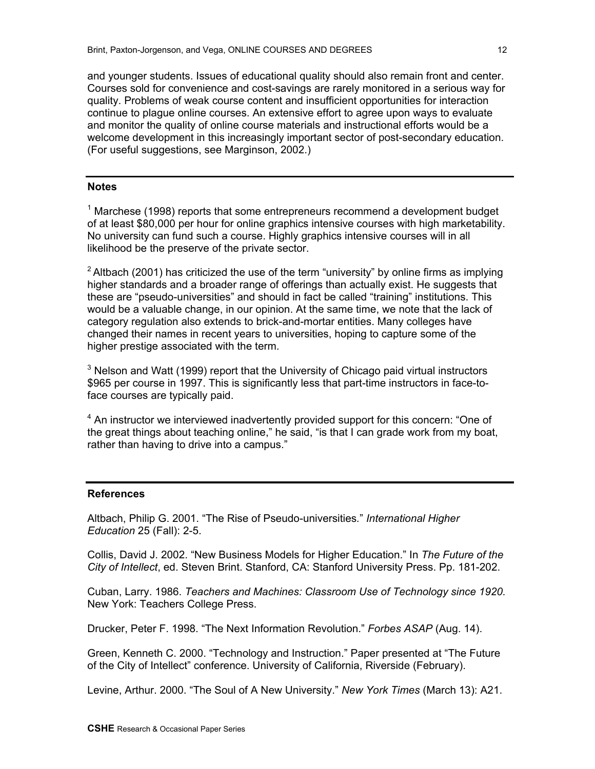and younger students. Issues of educational quality should also remain front and center. Courses sold for convenience and cost-savings are rarely monitored in a serious way for quality. Problems of weak course content and insufficient opportunities for interaction continue to plague online courses. An extensive effort to agree upon ways to evaluate and monitor the quality of online course materials and instructional efforts would be a welcome development in this increasingly important sector of post-secondary education. (For useful suggestions, see Marginson, 2002.)

#### **Notes**

 $1$  Marchese (1998) reports that some entrepreneurs recommend a development budget of at least \$80,000 per hour for online graphics intensive courses with high marketability. No university can fund such a course. Highly graphics intensive courses will in all likelihood be the preserve of the private sector.

 $2$  Altbach (2001) has criticized the use of the term "university" by online firms as implying higher standards and a broader range of offerings than actually exist. He suggests that these are "pseudo-universities" and should in fact be called "training" institutions. This would be a valuable change, in our opinion. At the same time, we note that the lack of category regulation also extends to brick-and-mortar entities. Many colleges have changed their names in recent years to universities, hoping to capture some of the higher prestige associated with the term.

 $3$  Nelson and Watt (1999) report that the University of Chicago paid virtual instructors \$965 per course in 1997. This is significantly less that part-time instructors in face-toface courses are typically paid.

<sup>4</sup> An instructor we interviewed inadvertently provided support for this concern: "One of the great things about teaching online," he said, "is that I can grade work from my boat, rather than having to drive into a campus."

## **References**

Altbach, Philip G. 2001. "The Rise of Pseudo-universities*.*" *International Higher Education* 25 (Fall): 2-5.

Collis, David J. 2002. "New Business Models for Higher Education." In *The Future of the City of Intellect*, ed. Steven Brint. Stanford, CA: Stanford University Press. Pp. 181-202.

Cuban, Larry. 1986. *Teachers and Machines: Classroom Use of Technology since 1920.*  New York: Teachers College Press.

Drucker, Peter F. 1998. "The Next Information Revolution." *Forbes ASAP* (Aug. 14).

Green, Kenneth C. 2000. "Technology and Instruction." Paper presented at "The Future of the City of Intellect" conference. University of California, Riverside (February).

Levine, Arthur. 2000. "The Soul of A New University." *New York Times* (March 13): A21.